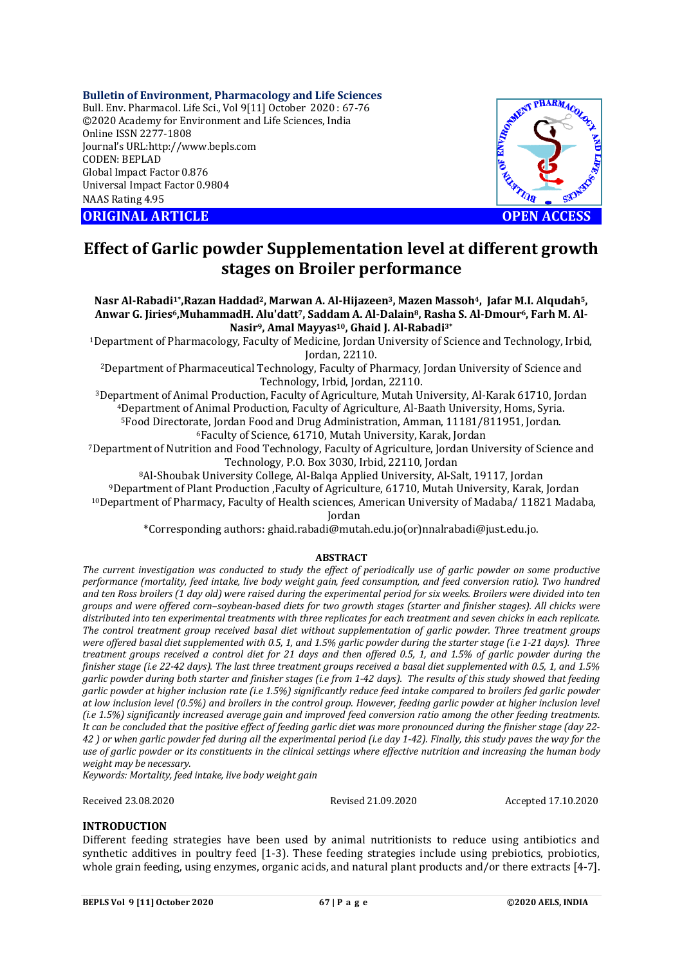## **Bulletin of Environment, Pharmacology and Life Sciences**

Bull. Env. Pharmacol. Life Sci., Vol 9[11] October 2020 : 67-76 ©2020 Academy for Environment and Life Sciences, India Online ISSN 2277-1808 Journal's URL:<http://www.bepls.com> CODEN: BEPLAD Global Impact Factor 0.876 Universal Impact Factor 0.9804 NAAS Rating 4.95

**ORIGINAL ARTICLE OPEN ACCESS**



# **Effect of Garlic powder Supplementation level at different growth stages on Broiler performance**

## **Nasr Al-Rabadi1\*,Razan Haddad2, Marwan A. Al-Hijazeen3, Mazen Massoh4, Jafar M.I. Alqudah5, Anwar G. Jiries6,MuhammadH. Alu'datt7, Saddam A. Al-Dalain8, Rasha S. Al-Dmour6, Farh M. Al-Nasir9, Amal Mayyas10, Ghaid J. Al-Rabadi 3\***

<sup>1</sup>Department of Pharmacology, Faculty of Medicine, Jordan University of Science and Technology, Irbid, Jordan, 22110.

<sup>2</sup>Department of Pharmaceutical Technology, Faculty of Pharmacy, Jordan University of Science and Technology, Irbid, Jordan, 22110.

Department of Animal Production, Faculty of Agriculture, Mutah University, Al-Karak 61710, Jordan Department of Animal Production, Faculty of Agriculture, Al-Baath University, Homs, Syria. Food Directorate, Jordan Food and Drug Administration, Amman, 11181/811951, Jordan. Faculty of Science, 61710, Mutah University, Karak, Jordan

<sup>7</sup>Department of Nutrition and Food Technology, Faculty of Agriculture, Jordan University of Science and Technology, P.O. Box 3030, Irbid, 22110, Jordan

Al-Shoubak University College, Al-Balqa Applied University, Al-Salt, 19117, Jordan Department of Plant Production ,Faculty of Agriculture, 61710, Mutah University, Karak, Jordan Department of Pharmacy, Faculty of Health sciences, American University of Madaba/ 11821 Madaba, Jordan

\*Corresponding authors: [ghaid.rabadi@mutah.edu.jo\(or\)nnalrabadi@just.edu.jo.](mailto:ghaid.rabadi@mutah.edu.jo(or)nnalrabadi@just.edu.jo.)

## **ABSTRACT**

*The current investigation was conducted to study the effect of periodically use of garlic powder on some productive performance (mortality, feed intake, live body weight gain, feed consumption, and feed conversion ratio). Two hundred and ten Ross broilers (1 day old) were raised during the experimental period for six weeks. Broilers were divided into ten groups and were offered corn–soybean-based diets for two growth stages (starter and finisher stages). All chicks were distributed into ten experimental treatments with three replicates for each treatment and seven chicks in each replicate. The control treatment group received basal diet without supplementation of garlic powder. Three treatment groups were offered basal diet supplemented with 0.5, 1, and 1.5% garlic powder during the starter stage (i.e 1-21 days). Three treatment groups received a control diet for 21 days and then offered 0.5, 1, and 1.5% of garlic powder during the finisher stage (i.e 22-42 days). The last three treatment groups received a basal diet supplemented with 0.5, 1, and 1.5% garlic powder during both starter and finisher stages (i.e from 1-42 days). The results of this study showed that feeding garlic powder at higher inclusion rate (i.e 1.5%) significantly reduce feed intake compared to broilers fed garlic powder at low inclusion level (0.5%) and broilers in the control group. However, feeding garlic powder at higher inclusion level (i.e 1.5%) significantly increased average gain and improved feed conversion ratio among the other feeding treatments. It can be concluded that the positive effect of feeding garlic diet was more pronounced during the finisher stage (day 22- 42 ) or when garlic powder fed during all the experimental period (i.e day 1-42). Finally, this study paves the way for the use of garlic powder or its constituents in the clinical settings where effective nutrition and increasing the human body weight may be necessary.*

*Keywords: Mortality, feed intake, live body weight gain*

Received 23.08.2020 Revised 21.09.2020 Accepted 17.10.2020

## **INTRODUCTION**

Different feeding strategies have been used by animal nutritionists to reduce using antibiotics and synthetic additives in poultry feed [1-3). These feeding strategies include using prebiotics, probiotics, whole grain feeding, using enzymes, organic acids, and natural plant products and/or there extracts [4-7].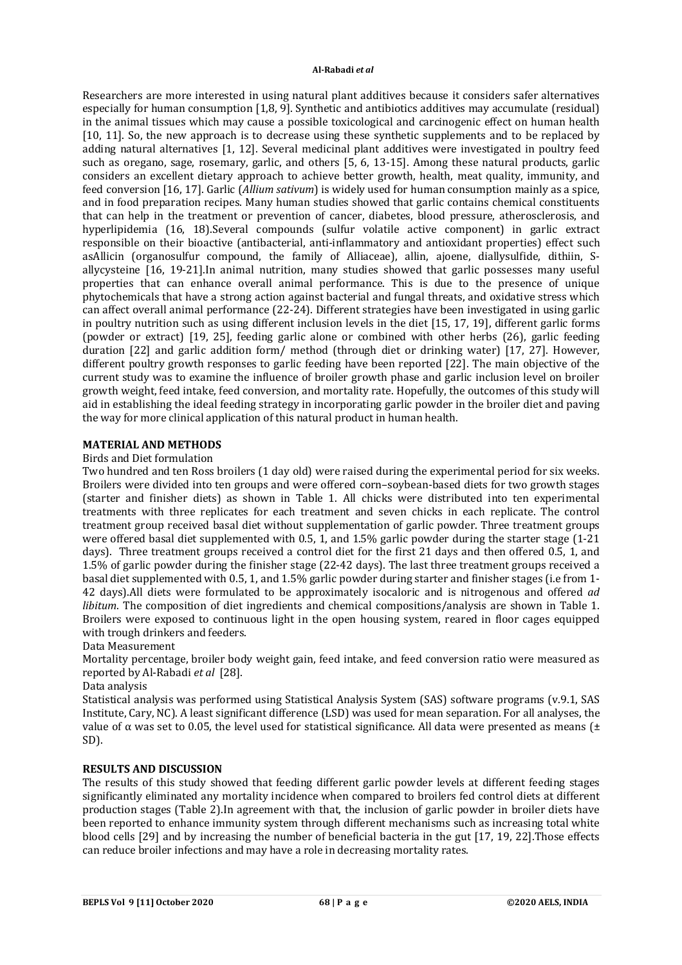Researchers are more interested in using natural plant additives because it considers safer alternatives especially for human consumption [1,8, 9]. Synthetic and antibiotics additives may accumulate (residual) in the animal tissues which may cause a possible toxicological and carcinogenic effect on human health [10, 11]. So, the new approach is to decrease using these synthetic supplements and to be replaced by adding natural alternatives [1, 12]. Several medicinal plant additives were investigated in poultry feed such as oregano, sage, rosemary, garlic, and others [5, 6, 13-15]. Among these natural products, garlic considers an excellent dietary approach to achieve better growth, health, meat quality, immunity, and feed conversion [16, 17]. Garlic (*Allium sativum*) is widely used for human consumption mainly as a spice, and in food preparation recipes. Many human studies showed that garlic contains chemical constituents that can help in the treatment or prevention of cancer, diabetes, blood pressure, atherosclerosis, and hyperlipidemia (16, 18).Several compounds (sulfur volatile active component) in garlic extract responsible on their bioactive (antibacterial, anti-inflammatory and antioxidant properties) effect such asAllicin (organosulfur compound, the family of Alliaceae), allin, ajoene, diallysulfide, dithiin, Sallycysteine [16, 19-21].In animal nutrition, many studies showed that garlic possesses many useful properties that can enhance overall animal performance. This is due to the presence of unique phytochemicals that have a strong action against bacterial and fungal threats, and oxidative stress which can affect overall animal performance (22-24). Different strategies have been investigated in using garlic in poultry nutrition such as using different inclusion levels in the diet [15, 17, 19], different garlic forms (powder or extract) [19, 25], feeding garlic alone or combined with other herbs (26), garlic feeding duration [22] and garlic addition form/ method (through diet or drinking water) [17, 27]. However, different poultry growth responses to garlic feeding have been reported [22]. The main objective of the current study was to examine the influence of broiler growth phase and garlic inclusion level on broiler growth weight, feed intake, feed conversion, and mortality rate. Hopefully, the outcomes of this study will aid in establishing the ideal feeding strategy in incorporating garlic powder in the broiler diet and paving the way for more clinical application of this natural product in human health.

## **MATERIAL AND METHODS**

## Birds and Diet formulation

Two hundred and ten Ross broilers (1 day old) were raised during the experimental period for six weeks. Broilers were divided into ten groups and were offered corn–soybean-based diets for two growth stages (starter and finisher diets) as shown in Table 1. All chicks were distributed into ten experimental treatments with three replicates for each treatment and seven chicks in each replicate. The control treatment group received basal diet without supplementation of garlic powder. Three treatment groups were offered basal diet supplemented with 0.5, 1, and 1.5% garlic powder during the starter stage (1-21 days). Three treatment groups received a control diet for the first 21 days and then offered 0.5, 1, and 1.5% of garlic powder during the finisher stage (22-42 days). The last three treatment groups received a basal diet supplemented with 0.5, 1, and 1.5% garlic powder during starter and finisher stages (i.e from 1- 42 days).All diets were formulated to be approximately isocaloric and is nitrogenous and offered *ad libitum*. The composition of diet ingredients and chemical compositions/analysis are shown in Table 1. Broilers were exposed to continuous light in the open housing system, reared in floor cages equipped with trough drinkers and feeders.

## Data Measurement

Mortality percentage, broiler body weight gain, feed intake, and feed conversion ratio were measured as reported by Al-Rabadi *et al* [28].

#### Data analysis

Statistical analysis was performed using Statistical Analysis System (SAS) software programs (v.9.1, SAS Institute, Cary, NC). A least significant difference (LSD) was used for mean separation. For all analyses, the value of α was set to 0.05, the level used for statistical significance. All data were presented as means ( $±$ SD).

## **RESULTS AND DISCUSSION**

The results of this study showed that feeding different garlic powder levels at different feeding stages significantly eliminated any mortality incidence when compared to broilers fed control diets at different production stages (Table 2).In agreement with that, the inclusion of garlic powder in broiler diets have been reported to enhance immunity system through different mechanisms such as increasing total white blood cells [29] and by increasing the number of beneficial bacteria in the gut [17, 19, 22].Those effects can reduce broiler infections and may have a role in decreasing mortality rates.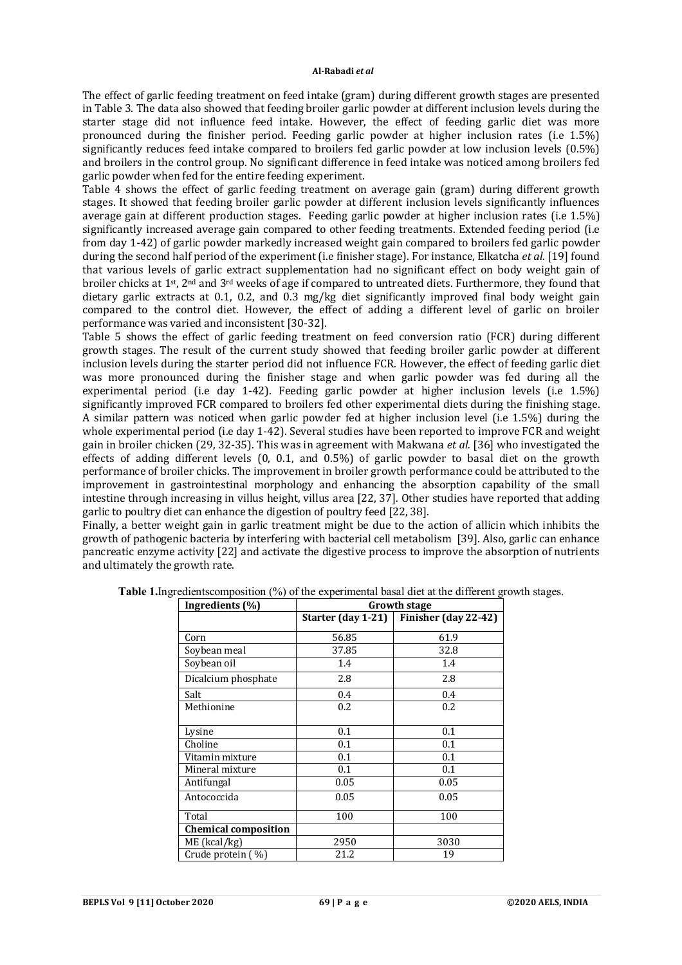The effect of garlic feeding treatment on feed intake (gram) during different growth stages are presented in Table 3. The data also showed that feeding broiler garlic powder at different inclusion levels during the starter stage did not influence feed intake. However, the effect of feeding garlic diet was more pronounced during the finisher period. Feeding garlic powder at higher inclusion rates (i.e 1.5%) significantly reduces feed intake compared to broilers fed garlic powder at low inclusion levels (0.5%) and broilers in the control group. No significant difference in feed intake was noticed among broilers fed garlic powder when fed for the entire feeding experiment.

Table 4 shows the effect of garlic feeding treatment on average gain (gram) during different growth stages. It showed that feeding broiler garlic powder at different inclusion levels significantly influences average gain at different production stages. Feeding garlic powder at higher inclusion rates (i.e 1.5%) significantly increased average gain compared to other feeding treatments. Extended feeding period (i.e from day 1-42) of garlic powder markedly increased weight gain compared to broilers fed garlic powder during the second half period of the experiment (i.e finisher stage). For instance, Elkatcha *et al*. [19] found that various levels of garlic extract supplementation had no significant effect on body weight gain of broiler chicks at 1st, 2nd and 3rd weeks of age if compared to untreated diets. Furthermore, they found that dietary garlic extracts at 0.1, 0.2, and 0.3 mg/kg diet significantly improved final body weight gain compared to the control diet. However, the effect of adding a different level of garlic on broiler performance was varied and inconsistent [30-32].

Table 5 shows the effect of garlic feeding treatment on feed conversion ratio (FCR) during different growth stages. The result of the current study showed that feeding broiler garlic powder at different inclusion levels during the starter period did not influence FCR. However, the effect of feeding garlic diet was more pronounced during the finisher stage and when garlic powder was fed during all the experimental period (i.e day 1-42). Feeding garlic powder at higher inclusion levels (i.e 1.5%) significantly improved FCR compared to broilers fed other experimental diets during the finishing stage. A similar pattern was noticed when garlic powder fed at higher inclusion level (i.e 1.5%) during the whole experimental period (i.e day 1-42). Several studies have been reported to improve FCR and weight gain in broiler chicken (29, 32-35). This was in agreement with Makwana *et al.* [36] who investigated the effects of adding different levels (0, 0.1, and 0.5%) of garlic powder to basal diet on the growth performance of broiler chicks. The improvement in broiler growth performance could be attributed to the improvement in gastrointestinal morphology and enhancing the absorption capability of the small intestine through increasing in villus height, villus area [22, 37]. Other studies have reported that adding garlic to poultry diet can enhance the digestion of poultry feed [22, 38].

Finally, a better weight gain in garlic treatment might be due to the action of allicin which inhibits the growth of pathogenic bacteria by interfering with bacterial cell metabolism [39]. Also, garlic can enhance pancreatic enzyme activity [22] and activate the digestive process to improve the absorption of nutrients and ultimately the growth rate.

| Ingredients (%)             | Growth stage       |                      |  |
|-----------------------------|--------------------|----------------------|--|
|                             | Starter (day 1-21) | Finisher (day 22-42) |  |
| Corn                        | 56.85              | 61.9                 |  |
| Soybean meal                | 37.85              | 32.8                 |  |
| Soybean oil                 | 1.4                | 1.4                  |  |
| Dicalcium phosphate         | 2.8                | 2.8                  |  |
| Salt                        | 0.4                | 0.4                  |  |
| Methionine                  | 0.2                | 0.2                  |  |
| Lysine                      | 0.1                | 0.1                  |  |
| Choline                     | 0.1                | 0.1                  |  |
| Vitamin mixture             | 0.1                | 0.1                  |  |
| Mineral mixture             | 0.1                | 0.1                  |  |
| Antifungal                  | 0.05               | 0.05                 |  |
| Antococcida                 | 0.05               | 0.05                 |  |
| Total                       | 100                | 100                  |  |
| <b>Chemical composition</b> |                    |                      |  |
| ME (kcal/kg)                | 2950               | 3030                 |  |
| Crude protein $(\%)$        | 21.2               | 19                   |  |

**Table 1.**Ingredients composition (%) of the experimental basal diet at the different growth stages.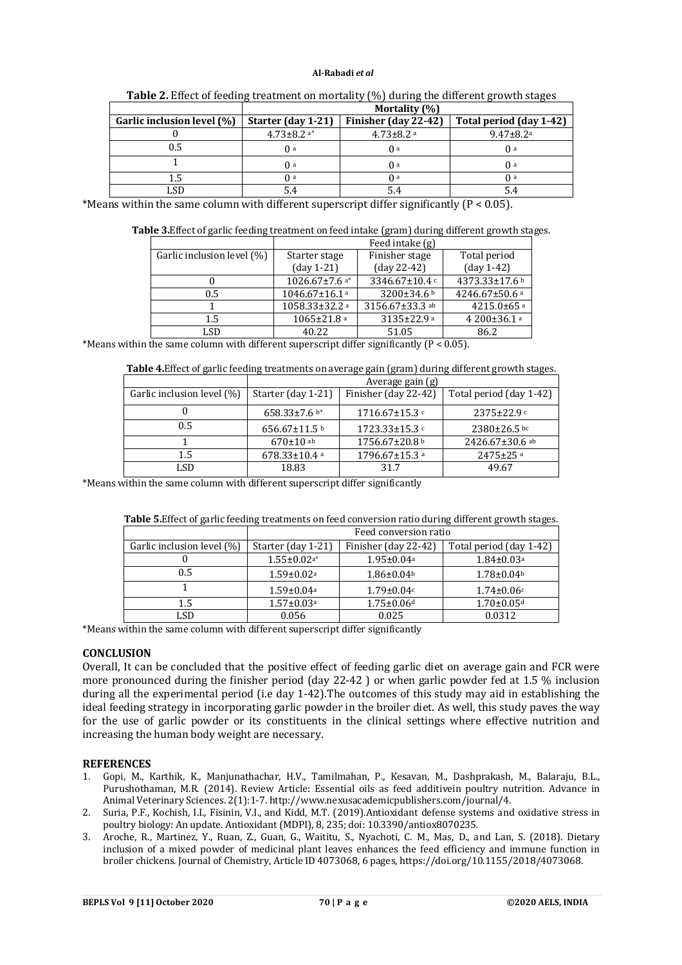|                            | Mortality (%)      |                      |                             |
|----------------------------|--------------------|----------------------|-----------------------------|
| Garlic inclusion level (%) | Starter (day 1-21) | Finisher (day 22-42) | Total period (day 1-42)     |
|                            | $4.73 \pm 8.2$ a*  | $4.73 \pm 8.2$ a     | $9.47 \pm 8.2$ <sup>a</sup> |
|                            | $\Omega$ a         | O a                  | $\theta$ a                  |
|                            | O a                | O a                  | $\theta$ a                  |
|                            | () a               | () a                 | $\theta$ a                  |
|                            |                    | 5.4                  | 5.4                         |

| Table 2. Effect of feeding treatment on mortality (%) during the different growth stages |  |  |
|------------------------------------------------------------------------------------------|--|--|
|------------------------------------------------------------------------------------------|--|--|

\*Means within the same column with different superscript differ significantly  $(P < 0.05)$ .

|                            | Feed intake (g)                    |                         |                            |
|----------------------------|------------------------------------|-------------------------|----------------------------|
| Garlic inclusion level (%) | Starter stage                      | Finisher stage          | Total period               |
|                            | $\frac{day 1-21}$                  | $\frac{day 22 - 42}{y}$ | $\frac{day 1-42}{}$        |
|                            | 1026.67 $\pm$ 7.6 $^{\mathrm{a*}}$ | 3346.67±10.4 c          | 4373.33±17.6 b             |
| 0.5                        | $1046.67 \pm 16.1$ <sup>a</sup>    | 3200±34.6 b             | 4246.67±50.6 a             |
|                            | $1058.33 \pm 32.2$ a               | 3156.67±33.3 ab         | $4215.0\pm65$ a            |
| $1.5\,$                    | $1065 \pm 21.8$ a                  | $3135 \pm 22.9$ a       | $4200\pm36.1$ <sup>a</sup> |
| LSD                        | 40.22                              | 51.05                   | 86.2                       |

\*Means within the same column with different superscript differ significantly  $(P < 0.05)$ .

| Table 4. Effect of garlic feeding treatments on average gain (gram) during different growth stages. |
|-----------------------------------------------------------------------------------------------------|
|-----------------------------------------------------------------------------------------------------|

|                            | Average gain (g)    |                      |                         |
|----------------------------|---------------------|----------------------|-------------------------|
| Garlic inclusion level (%) | Starter (day 1-21)  | Finisher (day 22-42) | Total period (day 1-42) |
|                            | $658.33 \pm 7.6$ b* | $1716.67 \pm 15.3$   | $2375 \pm 22.9$         |
| 0.5                        | 656.67 $\pm$ 11.5 b | $1723.33 \pm 15.3$ c | $2380 \pm 26.5$ bc      |
|                            | $670 \pm 10$ ab     | 1756.67±20.8 b       | $2426.67 \pm 30.6$ ab   |
| $1.5\,$                    | $678.33 \pm 10.4$ a | $1796.67 \pm 15.3$ a | $2475 \pm 25$ a         |
| LSD                        | 18.83               | 31.7                 | 49.67                   |

\*Means within the same column with different superscript differ significantly

| <b>Table 5.</b> Effect of garlic feeding treatments on feed conversion ratio during different growth stages. |                       |  |   |
|--------------------------------------------------------------------------------------------------------------|-----------------------|--|---|
|                                                                                                              | Feed conversion ratio |  |   |
| Garlic inclusion level $(\%)$   Starter (day 1-21)   Finisher (day 22-42)   Total period (day 1-42)          |                       |  |   |
|                                                                                                              |                       |  | . |

| Garlic inclusion level (%) | Starter (day 1-21)           | Finisher (day 22-42)         | Total period (day 1-42)      |
|----------------------------|------------------------------|------------------------------|------------------------------|
|                            | $1.55 \pm 0.02$ a*           | $1.95 \pm 0.04$ <sup>a</sup> | $1.84 \pm 0.03$ <sup>a</sup> |
| 0.5                        | $1.59 \pm 0.02$ <sup>a</sup> | $1.86 \pm 0.04$              | $1.78 \pm 0.04$              |
|                            | $1.59 \pm 0.04$ a            | $1.79 \pm 0.04c$             | $1.74 \pm 0.06c$             |
| 1.5                        | $1.57 \pm 0.03$ <sup>a</sup> | $1.75 \pm 0.06$ d            | $1.70 \pm 0.05$ d            |
| LSD                        | 0.056                        | 0.025                        | 0.0312                       |

\*Means within the same column with different superscript differ significantly

## **CONCLUSION**

Overall, It can be concluded that the positive effect of feeding garlic diet on average gain and FCR were more pronounced during the finisher period (day 22-42 ) or when garlic powder fed at 1.5 % inclusion during all the experimental period (i.e day 1-42).The outcomes of this study may aid in establishing the ideal feeding strategy in incorporating garlic powder in the broiler diet. As well, this study paves the way for the use of garlic powder or its constituents in the clinical settings where effective nutrition and increasing the human body weight are necessary.

## **REFERENCES**

- 1. Gopi, M., Karthik, K., Manjunathachar, H.V., Tamilmahan, P., Kesavan, M., Dashprakash, M., Balaraju, B.L., Purushothaman, M.R. (2014). Review Article: Essential oils as feed additivein poultry nutrition. Advance in Animal Veterinary Sciences. 2(1):1-7.<http://www.nexusacademicpublishers.com/journal/4.>
- 2. Suria, P.F., Kochish, I.I., Fisinin, V.I., and Kidd, M.T. (2019).Antioxidant defense systems and oxidative stress in poultry biology: An update. Antioxidant (MDPI), 8, 235; doi: 10.3390/antiox8070235.
- 3. Aroche, R., Martinez, Y., Ruan, Z., Guan, G., Waititu, S., Nyachoti, C. M., Mas, D., and Lan, S. (2018). Dietary inclusion of a mixed powder of medicinal plant leaves enhances the feed efficiency and immune function in broiler chickens. Journal of Chemistry, Article ID 4073068, 6 pages,<https://doi.org/10.1155/2018/4073068.>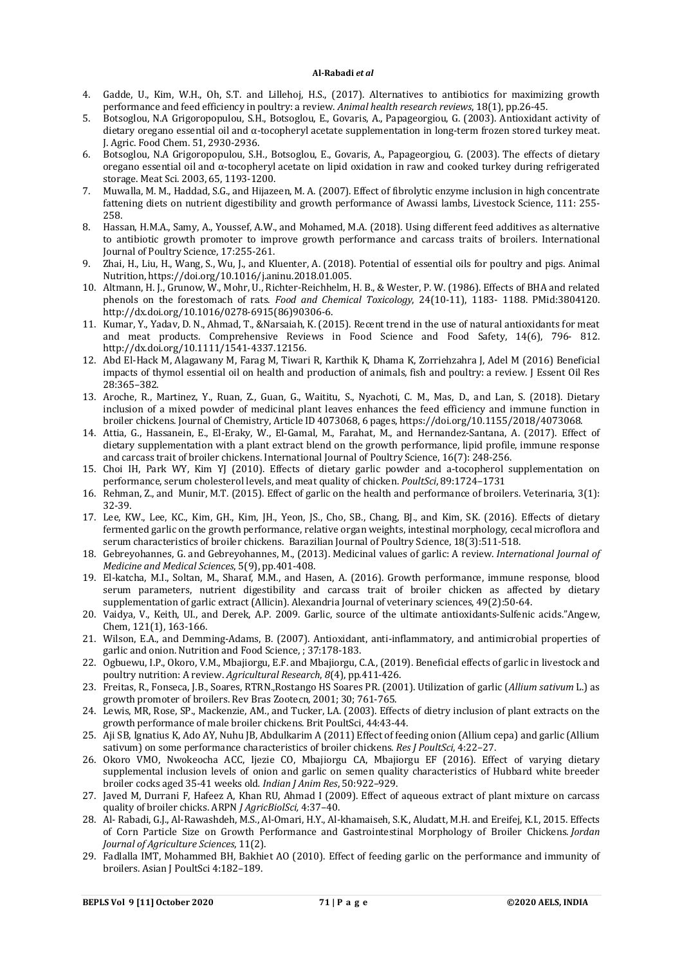- 4. Gadde, U., Kim, W.H., Oh, S.T. and Lillehoj, H.S., (2017). Alternatives to antibiotics for maximizing growth performance and feed efficiency in poultry: a review. *Animal health research reviews*, 18(1), pp.26-45.
- 5. Botsoglou, N.A Grigoropopulou, S.H., Botsoglou, E., Govaris, A., Papageorgiou, G. (2003). Antioxidant activity of dietary oregano essential oil and α-tocopheryl acetate supplementation in long-term frozen stored turkey meat. J. Agric. Food Chem. 51, 2930-2936.
- 6. Botsoglou, N.A Grigoropopulou, S.H., Botsoglou, E., Govaris, A., Papageorgiou, G. (2003). The effects of dietary oregano essential oil and α-tocopheryl acetate on lipid oxidation in raw and cooked turkey during refrigerated storage. Meat Sci. 2003, 65, 1193-1200.
- 7. Muwalla, M. M., Haddad, S.G., and Hijazeen, M. A. (2007). Effect of fibrolytic enzyme inclusion in high concentrate fattening diets on nutrient digestibility and growth performance of Awassi lambs, Livestock Science, 111: 255- 258.
- 8. Hassan, H.M.A., Samy, A., Youssef, A.W., and Mohamed, M.A. (2018). Using different feed additives as alternative to antibiotic growth promoter to improve growth performance and carcass traits of broilers. International Journal of Poultry Science, 17:255-261.
- 9. Zhai, H., Liu, H., Wang, S., Wu, J., and Kluenter, A. (2018). Potential of essential oils for poultry and pigs. Animal Nutrition, <https://doi.org/10.1016/j.aninu.2018.01.005.>
- 10. Altmann, H. J., Grunow, W., Mohr, U., Richter-Reichhelm, H. B., & Wester, P. W. (1986). Effects of BHA and related phenols on the forestomach of rats. *Food and Chemical Toxicology*, 24(10-11), 1183- 1188. PMid:3804120. [http://dx.doi.org/10.1016/0278-6915\(86\)90306-6.](http://dx.doi.org/10.1016/0278-6915(86)90306-6.)
- 11. Kumar, Y., Yadav, D. N., Ahmad, T., &Narsaiah, K. (2015). Recent trend in the use of natural antioxidants for meat and meat products. Comprehensive Reviews in Food Science and Food Safety, 14(6), 796- 812. <http://dx.doi.org/10.1111/1541-4337.12156.>
- 12. Abd El-Hack M, Alagawany M, Farag M, Tiwari R, Karthik K, Dhama K, Zorriehzahra J, Adel M (2016) Beneficial impacts of thymol essential oil on health and production of animals, fish and poultry: a review. J Essent Oil Res 28:365–382.
- 13. Aroche, R., Martinez, Y., Ruan, Z., Guan, G., Waititu, S., Nyachoti, C. M., Mas, D., and Lan, S. (2018). Dietary inclusion of a mixed powder of medicinal plant leaves enhances the feed efficiency and immune function in broiler chickens. Journal of Chemistry, Article ID 4073068, 6 pages,<https://doi.org/10.1155/2018/4073068.>
- 14. Attia, G., Hassanein, E., El-Eraky, W., El-Gamal, M., Farahat, M., and Hernandez-Santana, A. (2017). Effect of dietary supplementation with a plant extract blend on the growth performance, lipid profile, immune response and carcass trait of broiler chickens. International Journal of Poultry Science, 16(7): 248-256.
- 15. Choi IH, Park WY, Kim YJ (2010). Effects of dietary garlic powder and a-tocopherol supplementation on performance, serum cholesterol levels, and meat quality of chicken. *PoultSci*, 89:1724–1731
- 16. Rehman, Z., and Munir, M.T. (2015). Effect of garlic on the health and performance of broilers. Veterinaria, 3(1): 32-39.
- 17. Lee, KW., Lee, KC., Kim, GH., Kim, JH., Yeon, JS., Cho, SB., Chang, BJ., and Kim, SK. (2016). Effects of dietary fermented garlic on the growth performance, relative organ weights, intestinal morphology, cecal microflora and serum characteristics of broiler chickens. Barazilian Journal of Poultry Science, 18(3):511-518.
- 18. Gebreyohannes, G. and Gebreyohannes, M., (2013). Medicinal values of garlic: A review. *International Journal of Medicine and Medical Sciences*, 5(9), pp.401-408.
- 19. El-katcha, M.I., Soltan, M., Sharaf, M.M., and Hasen, A. (2016). Growth performance, immune response, blood serum parameters, nutrient digestibility and carcass trait of broiler chicken as affected by dietary supplementation of garlic extract (Allicin). Alexandria Journal of veterinary sciences, 49(2):50-64.
- 20. Vaidya, V., Keith, UI., and Derek, A.P. 2009. Garlic, source of the ultimate antioxidants-Sulfenic acids."Angew, Chem, 121(1), 163-166.
- 21. Wilson, E.A., and Demming-Adams, B. (2007). Antioxidant, anti-inflammatory, and antimicrobial properties of garlic and onion. Nutrition and Food Science, ; 37:178-183.
- 22. Ogbuewu, I.P., Okoro, V.M., Mbajiorgu, E.F. and Mbajiorgu, C.A., (2019). Beneficial effects of garlic in livestock and poultry nutrition: A review. *Agricultural Research*, *8*(4), pp.411-426.
- 23. Freitas, R., Fonseca, J.B., Soares, RTRN.,Rostango HS Soares PR. (2001). Utilization of garlic (*Allium sativum* L.) as growth promoter of broilers. Rev Bras Zootecn, 2001; 30; 761-765.
- 24. Lewis, MR, Rose, SP., Mackenzie, AM., and Tucker, LA. (2003). Effects of dietry inclusion of plant extracts on the growth performance of male broiler chickens. Brit PoultSci, 44:43-44.
- 25. Aji SB, Ignatius K, Ado AY, Nuhu JB, Abdulkarim A (2011) Effect of feeding onion (Allium cepa) and garlic (Allium sativum) on some performance characteristics of broiler chickens. *Res J PoultSci*, 4:22–27.
- 26. Okoro VMO, Nwokeocha ACC, Ijezie CO, Mbajiorgu CA, Mbajiorgu EF (2016). Effect of varying dietary supplemental inclusion levels of onion and garlic on semen quality characteristics of Hubbard white breeder broiler cocks aged 35-41 weeks old*. Indian J Anim Res*, 50:922–929.
- 27. Javed M, Durrani F, Hafeez A, Khan RU, Ahmad I (2009). Effect of aqueous extract of plant mixture on carcass quality of broiler chicks. ARPN *J AgricBiolSci,* 4:37–40.
- 28. Al- Rabadi, G.J., Al-Rawashdeh, M.S., Al-Omari, H.Y., Al-khamaiseh, S.K., Aludatt, M.H. and Ereifej, K.I., 2015. Effects of Corn Particle Size on Growth Performance and Gastrointestinal Morphology of Broiler Chickens. *Jordan Journal of Agriculture Sciences*, 11(2).
- 29. Fadlalla IMT, Mohammed BH, Bakhiet AO (2010). Effect of feeding garlic on the performance and immunity of broilers. Asian J PoultSci 4:182–189.